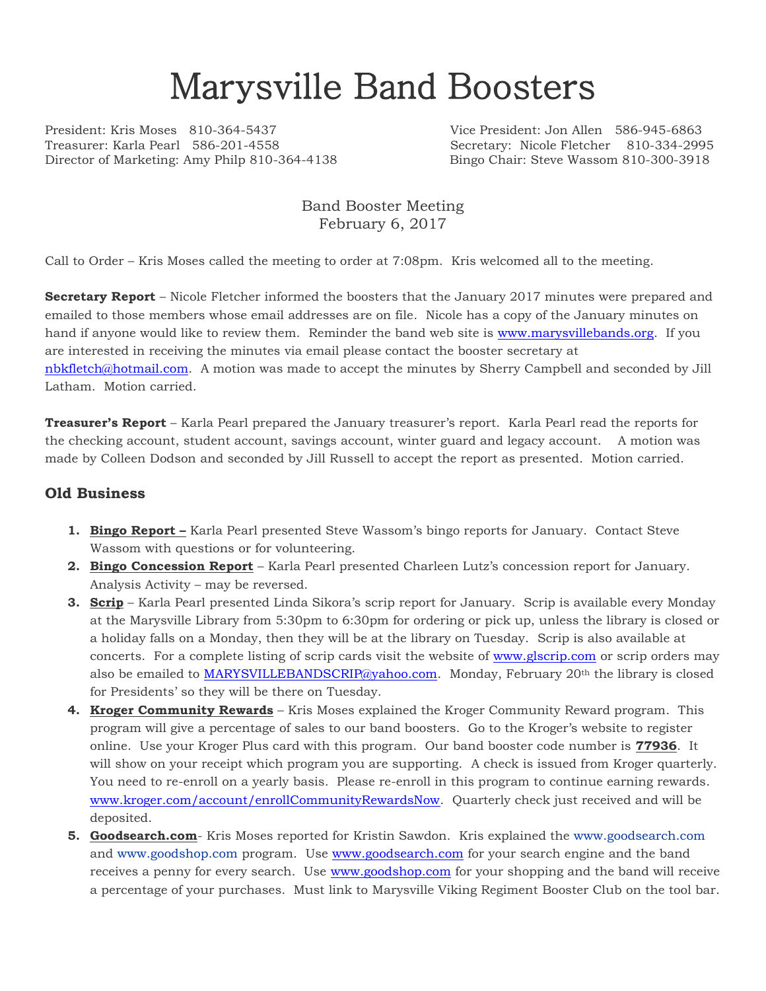# Marysville Band Boosters

President: Kris Moses 810-364-5437 Vice President: Jon Allen 586-945-6863 Treasurer: Karla Pearl 586-201-4558 Secretary: Nicole Fletcher 810-334-2995 Director of Marketing: Amy Philp 810-364-4138 Bingo Chair: Steve Wassom 810-300-3918

### Band Booster Meeting February 6, 2017

Call to Order – Kris Moses called the meeting to order at 7:08pm. Kris welcomed all to the meeting.

**Secretary Report** – Nicole Fletcher informed the boosters that the January 2017 minutes were prepared and emailed to those members whose email addresses are on file. Nicole has a copy of the January minutes on hand if anyone would like to review them. Reminder the band web site is [www.marysvillebands.org.](http://www.marysvillebands.org/) If you are interested in receiving the minutes via email please contact the booster secretary at [nbkfletch@hotmail.com.](mailto:nbkfletch@hotmail.com) A motion was made to accept the minutes by Sherry Campbell and seconded by Jill Latham. Motion carried.

**Treasurer's Report** – Karla Pearl prepared the January treasurer's report. Karla Pearl read the reports for the checking account, student account, savings account, winter guard and legacy account. A motion was made by Colleen Dodson and seconded by Jill Russell to accept the report as presented. Motion carried.

#### **Old Business**

- **1. Bingo Report –** Karla Pearl presented Steve Wassom's bingo reports for January. Contact Steve Wassom with questions or for volunteering.
- **2. Bingo Concession Report** Karla Pearl presented Charleen Lutz's concession report for January. Analysis Activity – may be reversed.
- **3. Scrip** Karla Pearl presented Linda Sikora's scrip report for January. Scrip is available every Monday at the Marysville Library from 5:30pm to 6:30pm for ordering or pick up, unless the library is closed or a holiday falls on a Monday, then they will be at the library on Tuesday. Scrip is also available at concerts. For a complete listing of scrip cards visit the website of [www.glscrip.com](http://www.glscrip.com/) or scrip orders may also be emailed to [MARYSVILLEBANDSCRIP@yahoo.com.](mailto:MARYSVILLEBANDSCRIP@yahoo.com) Monday, February 20<sup>th</sup> the library is closed for Presidents' so they will be there on Tuesday.
- **4. Kroger Community Rewards** Kris Moses explained the Kroger Community Reward program. This program will give a percentage of sales to our band boosters. Go to the Kroger's website to register online. Use your Kroger Plus card with this program. Our band booster code number is **77936**. It will show on your receipt which program you are supporting. A check is issued from Kroger quarterly. You need to re-enroll on a yearly basis. Please re-enroll in this program to continue earning rewards. [www.kroger.com/account/enrollCommunityRewardsNow.](http://www.kroger.com/account/enrollCommunityRewardsNow) Quarterly check just received and will be deposited.
- **5. Goodsearch.com** Kris Moses reported for Kristin Sawdon. Kris explained the [www.goodsearch.com](http://www.goodsearch.com/) and [www.goodshop.com](http://www.goodshop.com/) program. Use [www.goodsearch.com](http://www.goodsearch.com/) for your search engine and the band receives a penny for every search. Use [www.goodshop.com](http://www.goodshop.com/) for your shopping and the band will receive a percentage of your purchases. Must link to Marysville Viking Regiment Booster Club on the tool bar.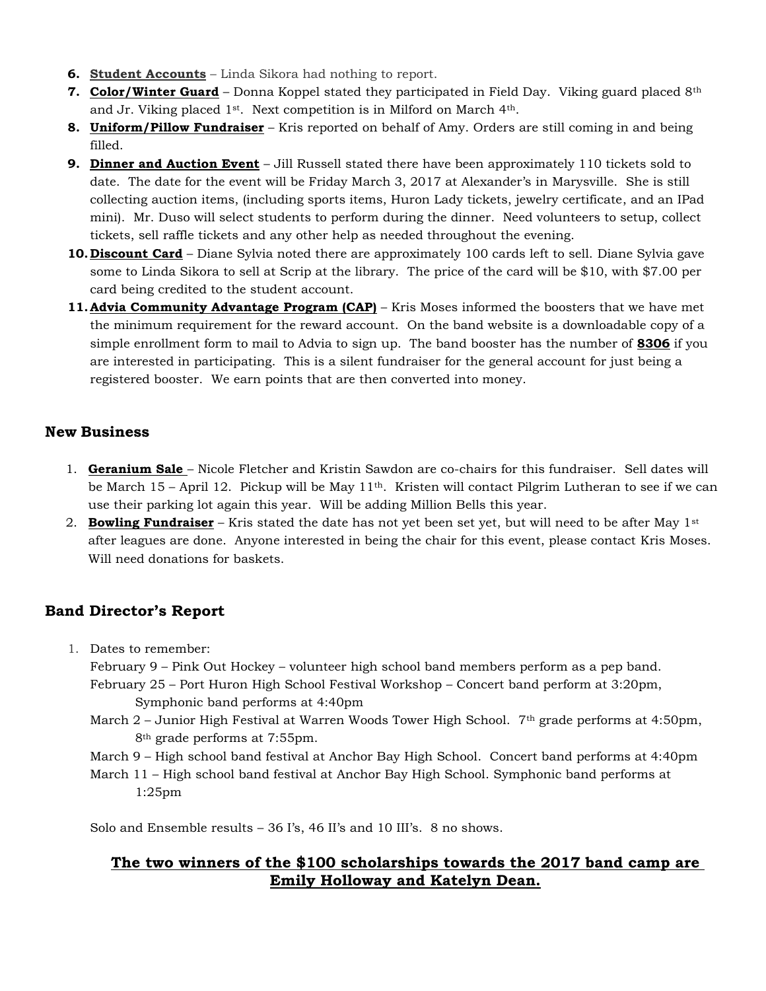- **6. Student Accounts** Linda Sikora had nothing to report.
- **7. Color/Winter Guard** Donna Koppel stated they participated in Field Day. Viking guard placed 8th and Jr. Viking placed 1st. Next competition is in Milford on March 4th.
- **8. Uniform/Pillow Fundraiser** Kris reported on behalf of Amy. Orders are still coming in and being filled.
- **9. Dinner and Auction Event** Jill Russell stated there have been approximately 110 tickets sold to date. The date for the event will be Friday March 3, 2017 at Alexander's in Marysville. She is still collecting auction items, (including sports items, Huron Lady tickets, jewelry certificate, and an IPad mini). Mr. Duso will select students to perform during the dinner. Need volunteers to setup, collect tickets, sell raffle tickets and any other help as needed throughout the evening.
- **10.Discount Card** Diane Sylvia noted there are approximately 100 cards left to sell. Diane Sylvia gave some to Linda Sikora to sell at Scrip at the library. The price of the card will be \$10, with \$7.00 per card being credited to the student account.
- **11. Advia Community Advantage Program (CAP)** Kris Moses informed the boosters that we have met the minimum requirement for the reward account. On the band website is a downloadable copy of a simple enrollment form to mail to Advia to sign up. The band booster has the number of **8306** if you are interested in participating. This is a silent fundraiser for the general account for just being a registered booster. We earn points that are then converted into money.

### **New Business**

- 1. **Geranium Sale** Nicole Fletcher and Kristin Sawdon are co-chairs for this fundraiser. Sell dates will be March 15 – April 12. Pickup will be May 11th. Kristen will contact Pilgrim Lutheran to see if we can use their parking lot again this year. Will be adding Million Bells this year.
- 2. **Bowling Fundraiser** Kris stated the date has not yet been set yet, but will need to be after May 1st after leagues are done. Anyone interested in being the chair for this event, please contact Kris Moses. Will need donations for baskets.

## **Band Director's Report**

1. Dates to remember:

February 9 – Pink Out Hockey – volunteer high school band members perform as a pep band. February 25 – Port Huron High School Festival Workshop – Concert band perform at 3:20pm, Symphonic band performs at 4:40pm

- March 2 Junior High Festival at Warren Woods Tower High School. 7<sup>th</sup> grade performs at 4:50pm, 8th grade performs at 7:55pm.
- March 9 High school band festival at Anchor Bay High School. Concert band performs at 4:40pm

March 11 – High school band festival at Anchor Bay High School. Symphonic band performs at 1:25pm

Solo and Ensemble results – 36 I's, 46 II's and 10 III's. 8 no shows.

## **The two winners of the \$100 scholarships towards the 2017 band camp are Emily Holloway and Katelyn Dean.**